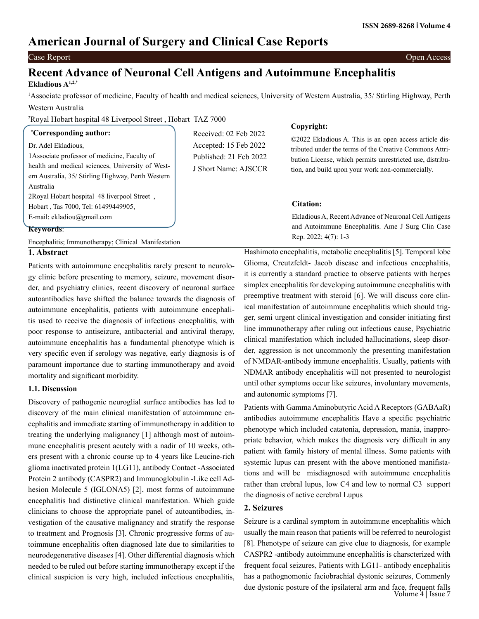# **American Journal of Surgery and Clinical Case Reports**

#### Case Report Open Access

# **Recent Advance of Neuronal Cell Antigens and Autoimmune Encephalitis Ekladious A1,2,**\*

1 Associate professor of medicine, Faculty of health and medical sciences, University of Western Australia, 35/ Stirling Highway, Perth Western Australia

**Copyright:**

2 Royal Hobart hospital 48 Liverpool Street , Hobart TAZ 7000

| <i>Corresponding author:</i>                        |                                                | Copyright:                                                                                                    |
|-----------------------------------------------------|------------------------------------------------|---------------------------------------------------------------------------------------------------------------|
|                                                     | Received: 02 Feb 2022                          | ©2022 Ekladious A. This is an open access article dis-                                                        |
| Dr. Adel Ekladious,                                 | Accepted: 15 Feb 2022                          | tributed under the terms of the Creative Commons Attri-                                                       |
| 1 Associate professor of medicine, Faculty of       | Published: 21 Feb 2022<br>J Short Name: AJSCCR | bution License, which permits unrestricted use, distribu-<br>tion, and build upon your work non-commercially. |
| health and medical sciences, University of West-    |                                                |                                                                                                               |
| ern Australia, 35/ Stirling Highway, Perth Western  |                                                |                                                                                                               |
| Australia                                           |                                                |                                                                                                               |
| 2Royal Hobart hospital 48 liverpool Street,         |                                                |                                                                                                               |
| Hobart, Tas 7000, Tel: 61499449905,                 |                                                | <b>Citation:</b>                                                                                              |
| E-mail: ekladiou@gmail.com                          |                                                | Ekladious A, Recent Advance of Neuronal Cell Antigens                                                         |
| Keywords:                                           |                                                | and Autoimmune Encephalitis. Ame J Surg Clin Case                                                             |
|                                                     |                                                | Rep. 2022; $4(7)$ : 1-3                                                                                       |
| Encephalitis; Immunotherapy; Clinical Manifestation |                                                |                                                                                                               |

#### **1. Abstract**

Patients with autoimmune encephalitis rarely present to neurology clinic before presenting to memory, seizure, movement disorder, and psychiatry clinics, recent discovery of neuronal surface autoantibodies have shifted the balance towards the diagnosis of autoimmune encephalitis, patients with autoimmune encephalitis used to receive the diagnosis of infectious encephalitis, with poor response to antiseizure, antibacterial and antiviral therapy, autoimmune encephalitis has a fundamental phenotype which is very specific even if serology was negative, early diagnosis is of paramount importance due to starting immunotherapy and avoid mortality and significant morbidity.

### **1.1. Discussion**

Discovery of pathogenic neuroglial surface antibodies has led to discovery of the main clinical manifestation of autoimmune encephalitis and immediate starting of immunotherapy in addition to treating the underlying malignancy [1] although most of autoimmune encephalitis present acutely with a nadir of 10 weeks, others present with a chronic course up to 4 years like Leucine-rich glioma inactivated protein 1(LG11), antibody Contact -Associated Protein 2 antibody (CASPR2) and Immunoglobulin -Like cell Adhesion Molecule 5 (IGLONA5) [2], most forms of autoimmune encephalitis had distinctive clinical manifestation. Which guide clinicians to choose the appropriate panel of autoantibodies, investigation of the causative malignancy and stratify the response to treatment and Prognosis [3]. Chronic progressive forms of autoimmune encephalitis often diagnosed late due to similarities to neurodegenerative diseases [4]. Other differential diagnosis which needed to be ruled out before starting immunotherapy except if the clinical suspicion is very high, included infectious encephalitis,

Hashimoto encephalitis, metabolic encephalitis [5]. Temporal lobe Glioma, Creutzfeldt- Jacob disease and infectious encephalitis, it is currently a standard practice to observe patients with herpes simplex encephalitis for developing autoimmune encephalitis with preemptive treatment with steroid [6]. We will discuss core clinical manifestation of autoimmune encephalitis which should trigger, semi urgent clinical investigation and consider initiating first line immunotherapy after ruling out infectious cause, Psychiatric clinical manifestation which included hallucinations, sleep disorder, aggression is not uncommonly the presenting manifestation of NMDAR-antibody immune encephalitis. Usually, patients with NDMAR antibody encephalitis will not presented to neurologist until other symptoms occur like seizures, involuntary movements, and autonomic symptoms [7].

Patients with Gamma Aminobutyric Acid A Receptors (GABAaR) antibodies autoimmune encephalitis Have a specific psychiatric phenotype which included catatonia, depression, mania, inappropriate behavior, which makes the diagnosis very difficult in any patient with family history of mental illness. Some patients with systemic lupus can present with the above mentioned manifistations and will be misdiagnosed with autoimmune encephalitis rather than crebral lupus, low C4 and low to normal C3 support the diagnosis of active cerebral Lupus

# **2. Seizures**

Seizure is a cardinal symptom in autoimmune encephalitis which usually the main reason that patients will be referred to neurologist [8]. Phenotype of seizure can give clue to diagnosis, for example CASPR2 -antibody autoimmune encephalitis is charscterized with frequent focal seizures, Patients with LG11- antibody encephalitis has a pathognomonic faciobrachial dystonic seizures, Commenly due dystonic posture of the ipsilateral arm and face, frequent falls Volume 4 | Issue 7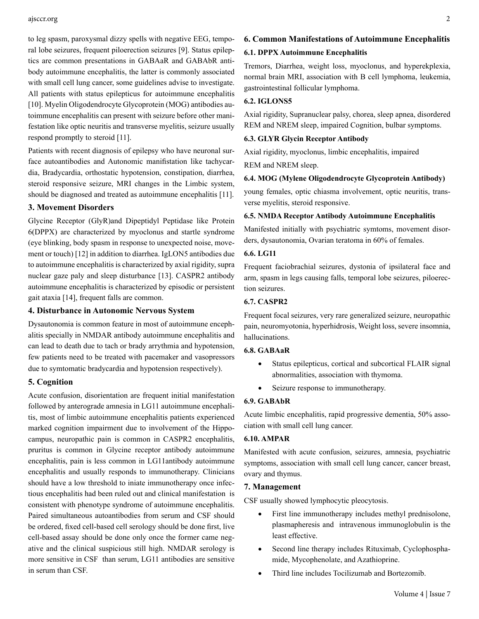to leg spasm, paroxysmal dizzy spells with negative EEG, temporal lobe seizures, frequent piloerection seizures [9]. Status epileptics are common presentations in GABAaR and GABAbR antibody autoimmune encephalitis, the latter is commonly associated with small cell lung cancer, some guidelines advise to investigate. All patients with status epilepticus for autoimmune encephalitis [10]. Myelin Oligodendrocyte Glycoprotein (MOG) antibodies autoimmune encephalitis can present with seizure before other manifestation like optic neuritis and transverse myelitis, seizure usually respond promptly to steroid [11].

Patients with recent diagnosis of epilepsy who have neuronal surface autoantibodies and Autonomic manifistation like tachycardia, Bradycardia, orthostatic hypotension, constipation, diarrhea, steroid responsive seizure, MRI changes in the Limbic system, should be diagnosed and treated as autoimmune encephalitis [11].

# **3. Movement Disorders**

Glycine Receptor (GlyR)and Dipeptidyl Peptidase like Protein 6(DPPX) are characterized by myoclonus and startle syndrome (eye blinking, body spasm in response to unexpected noise, movement or touch) [12] in addition to diarrhea. IgLON5 antibodies due to autoimmune encephalitis is characterized by axial rigidity, supra nuclear gaze paly and sleep disturbance [13]. CASPR2 antibody autoimmune encephalitis is characterized by episodic or persistent gait ataxia [14], frequent falls are common.

# **4. Disturbance in Autonomic Nervous System**

Dysautonomia is common feature in most of autoimmune encephalitis specially in NMDAR antibody autoimmune encephalitis and can lead to death due to tach or brady arrythmia and hypotension, few patients need to be treated with pacemaker and vasopressors due to symtomatic bradycardia and hypotension respectively).

#### **5. Cognition**

Acute confusion, disorientation are frequent initial manifestation followed by anterograde amnesia in LG11 autoimmune encephalitis, most of limbic autoimmune encephalitis patients experienced marked cognition impairment due to involvement of the Hippocampus, neuropathic pain is common in CASPR2 encephalitis, pruritus is common in Glycine receptor antibody autoimmune encephalitis, pain is less common in LG11antibody autoimmune encephalitis and usually responds to immunotherapy. Clinicians should have a low threshold to iniate immunotherapy once infectious encephalitis had been ruled out and clinical manifestation is consistent with phenotype syndrome of autoimmune encephalitis. Paired simultaneous autoantibodies from serum and CSF should be ordered, fixed cell-based cell serology should be done first, live cell-based assay should be done only once the former came negative and the clinical suspicious still high. NMDAR serology is more sensitive in CSF than serum, LG11 antibodies are sensitive in serum than CSF.

# **6. Common Manifestations of Autoimmune Encephalitis 6.1. DPPX Autoimmune Encephalitis**

Tremors, Diarrhea, weight loss, myoclonus, and hyperekplexia, normal brain MRI, association with B cell lymphoma, leukemia, gastrointestinal follicular lymphoma.

# **6.2. IGLONS5**

Axial rigidity, Supranuclear palsy, chorea, sleep apnea, disordered REM and NREM sleep, impaired Cognition, bulbar symptoms.

### **6.3. GLYR Glycin Receptor Antibody**

Axial rigidity, myoclonus, limbic encephalitis, impaired

REM and NREM sleep.

# **6.4. MOG (Mylene Oligodendrocyte Glycoprotein Antibody)**

young females, optic chiasma involvement, optic neuritis, transverse myelitis, steroid responsive.

#### **6.5. NMDA Receptor Antibody Autoimmune Encephalitis**

Manifested initially with psychiatric symtoms, movement disorders, dysautonomia, Ovarian teratoma in 60% of females.

#### **6.6. LG11**

Frequent faciobrachial seizures, dystonia of ipsilateral face and arm, spasm in legs causing falls, temporal lobe seizures, piloerection seizures.

# **6.7. CASPR2**

Frequent focal seizures, very rare generalized seizure, neuropathic pain, neuromyotonia, hyperhidrosis, Weight loss, severe insomnia, hallucinations.

#### **6.8. GABAaR**

- Status epilepticus, cortical and subcortical FLAIR signal abnormalities, association with thymoma.
- Seizure response to immunotherapy.

### **6.9. GABAbR**

Acute limbic encephalitis, rapid progressive dementia, 50% association with small cell lung cancer.

# **6.10. AMPAR**

Manifested with acute confusion, seizures, amnesia, psychiatric symptoms, association with small cell lung cancer, cancer breast, ovary and thymus.

#### **7. Management**

CSF usually showed lymphocytic pleocytosis.

- First line immunotherapy includes methyl prednisolone, plasmapheresis and intravenous immunoglobulin is the least effective.
- Second line therapy includes Rituximab, Cyclophosphamide, Mycophenolate, and Azathioprine.
- Third line includes Tocilizumab and Bortezomib.